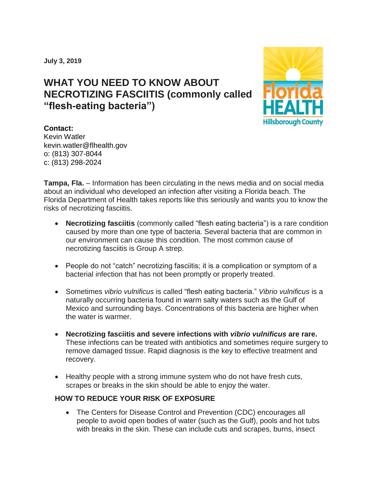**July 3, 2019**

## **WHAT YOU NEED TO KNOW ABOUT NECROTIZING FASCIITIS (commonly called "flesh-eating bacteria")**



## **Contact:**

Kevin Watler kevin.watler@flhealth.gov o: (813) 307-8044 c: (813) 298-2024

**Tampa, Fla.** – Information has been circulating in the news media and on social media about an individual who developed an infection after visiting a Florida beach. The Florida Department of Health takes reports like this seriously and wants you to know the risks of necrotizing fasciitis.

- **Necrotizing fasciitis** (commonly called "flesh eating bacteria") is a rare condition caused by more than one type of bacteria. Several bacteria that are common in our environment can cause this condition. The most common cause of necrotizing fasciitis is Group A strep.
- People do not "catch" necrotizing fasciitis; it is a complication or symptom of a bacterial infection that has not been promptly or properly treated.
- Sometimes *vibrio vulnificus* is called "flesh eating bacteria." *Vibrio vulnificus* is a naturally occurring bacteria found in warm salty waters such as the Gulf of Mexico and surrounding bays. Concentrations of this bacteria are higher when the water is warmer.
- **Necrotizing fasciitis and severe infections with** *vibrio vulnificus* **are rare.** These infections can be treated with antibiotics and sometimes require surgery to remove damaged tissue. Rapid diagnosis is the key to effective treatment and recovery.
- Healthy people with a strong immune system who do not have fresh cuts, scrapes or breaks in the skin should be able to enjoy the water.

## **HOW TO REDUCE YOUR RISK OF EXPOSURE**

• The Centers for Disease Control and Prevention (CDC) encourages all people to avoid open bodies of water (such as the Gulf), pools and hot tubs with breaks in the skin. These can include cuts and scrapes, burns, insect